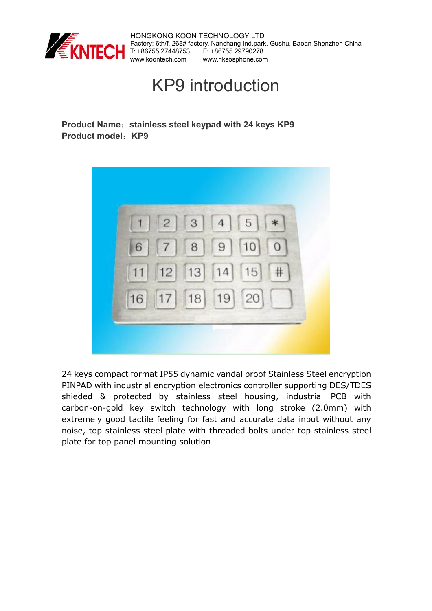

## KP9 introduction

**Product Name**:**stainless steel keypad with 24 keys KP9 Product model**:**KP9**



24 keys compact format IP55 dynamic vandal proof Stainless Steel encryption PINPAD with industrial encryption electronics controller supporting DES/TDES shieded & protected by stainless steel housing, industrial PCB with carbon-on-gold key switch technology with long stroke (2.0mm) with extremely good tactile feeling for fast and accurate data input without any noise, top stainless steel plate with threaded bolts under top stainless steel plate for top panel mounting solution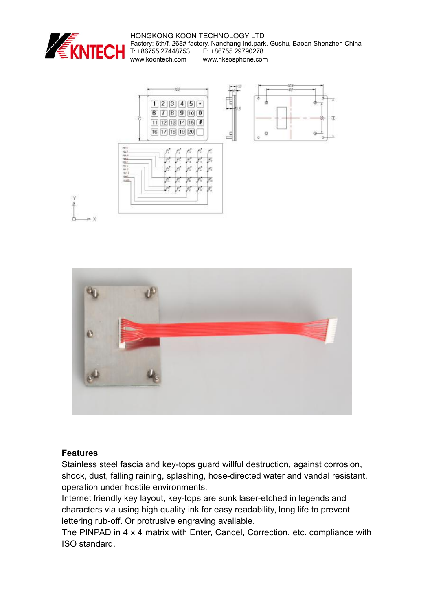

HONGKONG KOON TECHNOLOGY LTD Factory: 6th/f, 268# factory, Nanchang Ind.park, Gushu, Baoan Shenzhen China T: +86755 27448753 F: +86755 29790278<br>www.koontech.com www.hksosphone.cor www.hksosphone.com





## **Features**

Stainless steel fascia and key-tops guard willful destruction, against corrosion, shock, dust, falling raining, splashing, hose-directed water and vandal resistant, operation under hostile environments.

Internet friendly key layout, key-tops are sunk laser-etched in legends and characters via using high quality ink for easy readability, long life to prevent lettering rub-off. Or protrusive engraving available.

The PINPAD in 4 x 4 matrix with Enter, Cancel, Correction, etc. compliance with ISO standard.